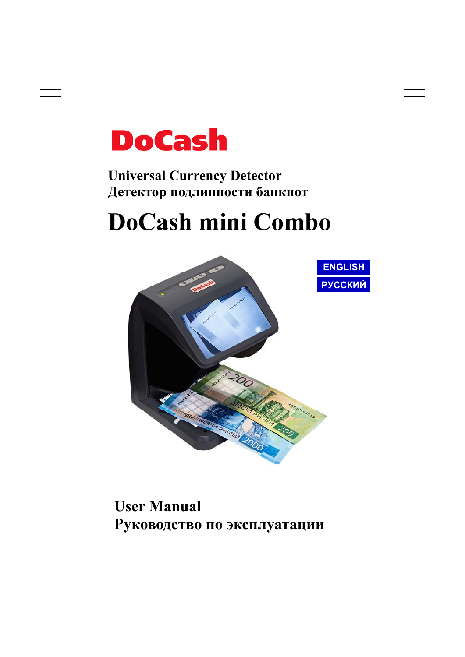

## **Universal Currency Detector Детектор подлинности банкнот**

# **DoCash mini Combo**



# **User Manual Руководство по эксплуатации**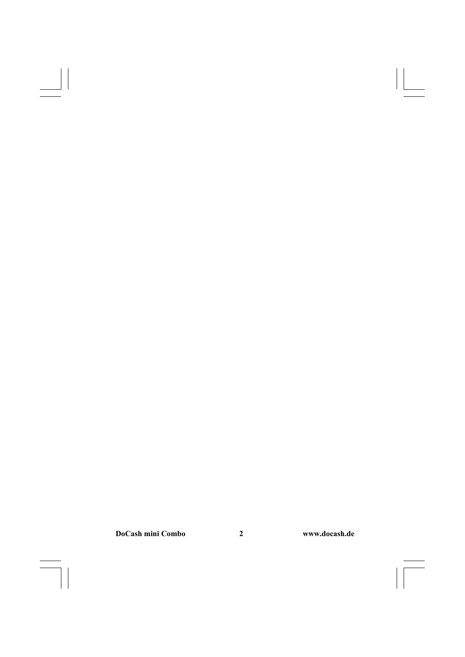**DoCash mini Combo 2 www.docash.de**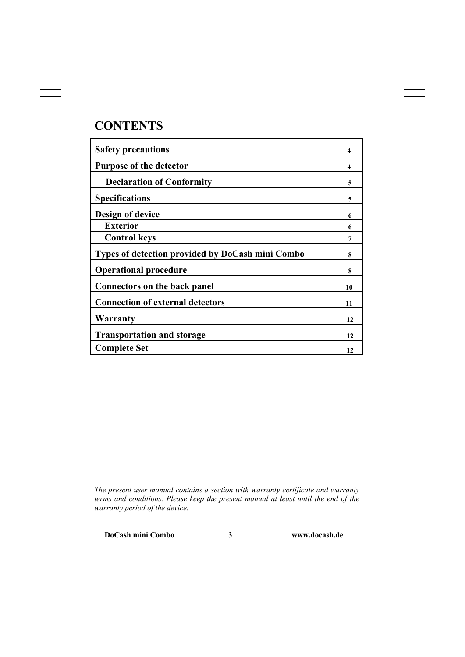## **CONTENTS**

| <b>Safety precautions</b>                        | 4  |
|--------------------------------------------------|----|
| <b>Purpose of the detector</b>                   | 4  |
| <b>Declaration of Conformity</b>                 | 5  |
| <b>Specifications</b>                            | 5  |
| Design of device                                 | 6  |
| <b>Exterior</b>                                  | 6  |
| <b>Control keys</b>                              | 7  |
| Types of detection provided by DoCash mini Combo | 8  |
| <b>Operational procedure</b>                     | 8  |
| Connectors on the back panel                     | 10 |
| <b>Connection of external detectors</b>          | 11 |
| Warranty                                         | 12 |
| <b>Transportation and storage</b>                | 12 |
| <b>Complete Set</b>                              | 12 |

*The present user manual contains a section with warranty certificate and warranty terms and conditions. Please keep the present manual at least until the end of the warranty period of the device.* 

**DoCash mini Combo 3 www.docash.de**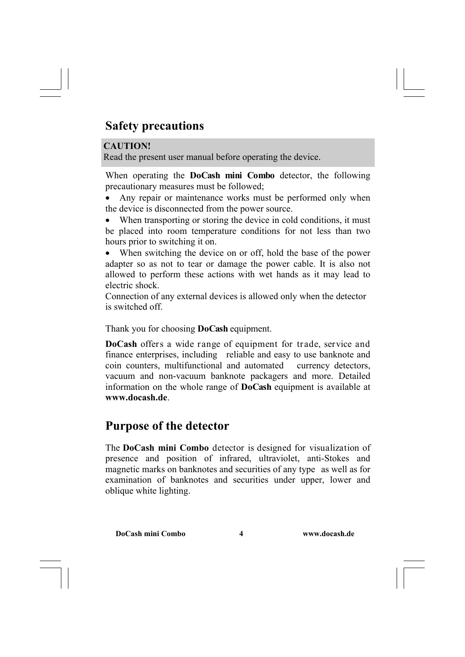## **Safety precautions**

#### **CAUTION!**

Read the present user manual before operating the device.

When operating the **DoCash mini Combo** detector, the following precautionary measures must be followed;

 Any repair or maintenance works must be performed only when the device is disconnected from the power source.

 When transporting or storing the device in cold conditions, it must be placed into room temperature conditions for not less than two hours prior to switching it on.

 When switching the device on or off, hold the base of the power adapter so as not to tear or damage the power cable. It is also not allowed to perform these actions with wet hands as it may lead to electric shock.

Connection of any external devices is allowed only when the detector is switched off.

Thank you for choosing **DoCash** equipment.

**DoCash** offers a wide range of equipment for trade, service and finance enterprises, including reliable and easy to use banknote and coin counters, multifunctional and automated currency detectors, vacuum and non-vacuum banknote packagers and more. Detailed information on the whole range of **DoCash** equipment is available at **www.docash.de**.

#### **Purpose of the detector**

The **DoCash mini Combo** detector is designed for visualization of presence and position of infrared, ultraviolet, anti-Stokes and magnetic marks on banknotes and securities of any typeas well as for examination of banknotes and securities under upper, lower and oblique white lighting.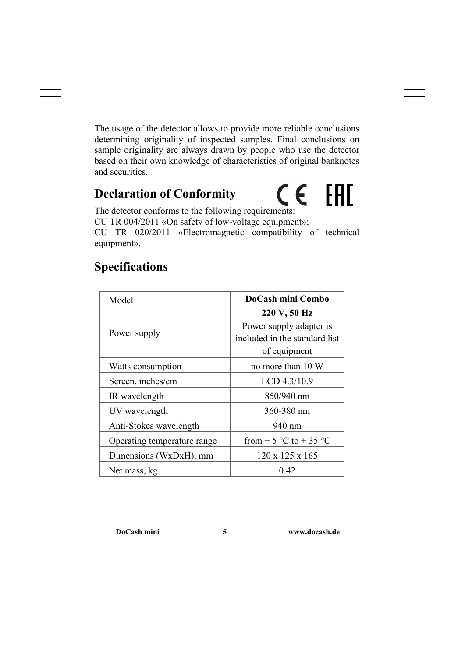The usage of the detector allows to provide more reliable conclusions determining originality of inspected samples. Final conclusions on sample originality are always drawn by people who use the detector based on their own knowledge of characteristics of original banknotes and securities.

#### **Declaration of Conformity**

# CE EHI

The detector conforms to the following requirements:

CU TR 004/2011 «On safety of low-voltage equipment»;

CU TR 020/2011 «Electromagnetic compatibility of technical equipment».

## **Specifications**

| Model                       | DoCash mini Combo             |  |  |  |  |  |
|-----------------------------|-------------------------------|--|--|--|--|--|
|                             | 220 V, 50 Hz                  |  |  |  |  |  |
|                             | Power supply adapter is       |  |  |  |  |  |
| Power supply                | included in the standard list |  |  |  |  |  |
|                             | of equipment                  |  |  |  |  |  |
| Watts consumption           | no more than 10 W             |  |  |  |  |  |
| Screen, inches/cm           | $LCD\,4.3/10.9$               |  |  |  |  |  |
| IR wavelength               | 850/940 nm                    |  |  |  |  |  |
| UV wavelength               | 360-380 nm                    |  |  |  |  |  |
| Anti-Stokes wavelength      | 940 nm                        |  |  |  |  |  |
| Operating temperature range | from $+5$ °C to $+35$ °C      |  |  |  |  |  |
| Dimensions (WxDxH), mm      | $120 \times 125 \times 165$   |  |  |  |  |  |
| Net mass, kg                | 0.42                          |  |  |  |  |  |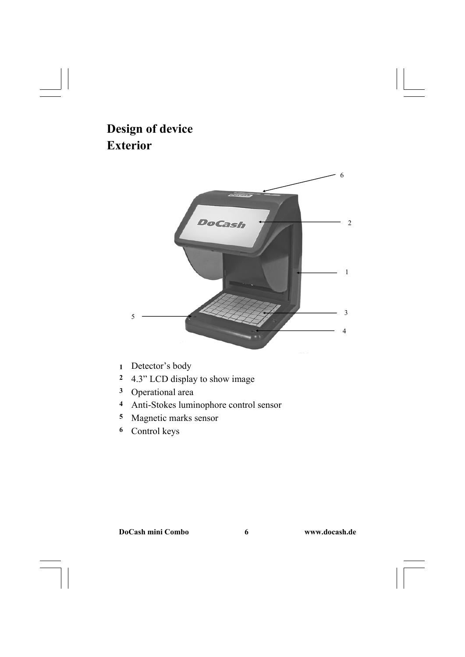## **Design of device Exterior**



- Detector's body
- 4.3" LCD display to show image
- Operational area
- Anti-Stokes luminophore control sensor
- Magnetic marks sensor
- Control keys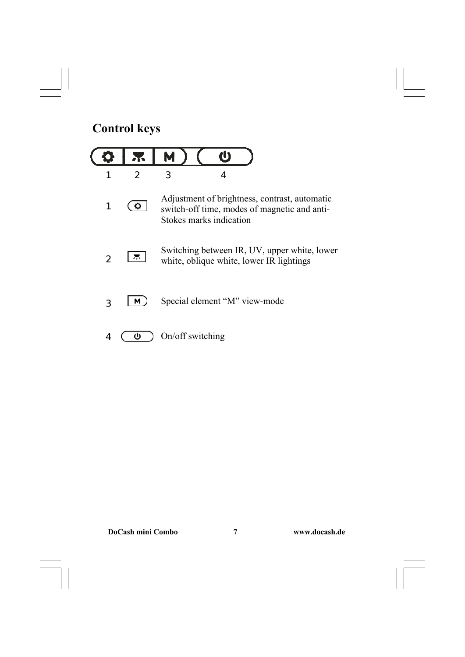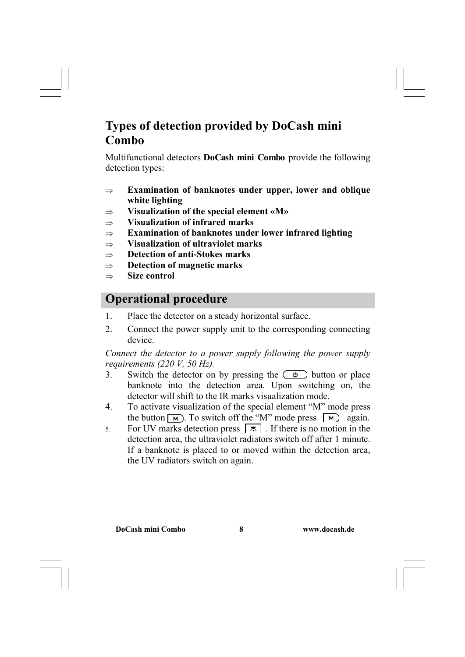### **Types of detection provided by DoCash mini Combo**

Multifunctional detectors **DoCash mini Combo** provide the following detection types:

- **Examination of banknotes under upper, lower and oblique white lighting**
- **Visualization of the special element «M»**
- **Visualization of infrared marks**
- **Examination of banknotes under lower infrared lighting**
- **Visualization of ultraviolet marks**
- **Detection of anti-Stokes marks**
- **Detection of magnetic marks**
- $\Rightarrow$  **Size control**

### **Operational procedure**

- 1. Place the detector on a steady horizontal surface.
- 2. Connect the power supply unit to the corresponding connecting device.

*Connect the detector to a power supply following the power supply requirements (220 V, 50 Hz).*

- 3. Switch the detector on by pressing the  $\circledcirc$  button or place banknote into the detection area. Upon switching on, the detector will shift to the IR marks visualization mode.
- 4. To activate visualization of the special element "M" mode press the button  $\boxed{\mathsf{M}}$ . To switch off the "M" mode press  $\boxed{\mathsf{M}}$  again.
- 5. For UV marks detection press  $\boxed{\pi}$ . If there is no motion in the detection area, the ultraviolet radiators switch off after 1 minute. If a banknote is placed to or moved within the detection area, the UV radiators switch on again.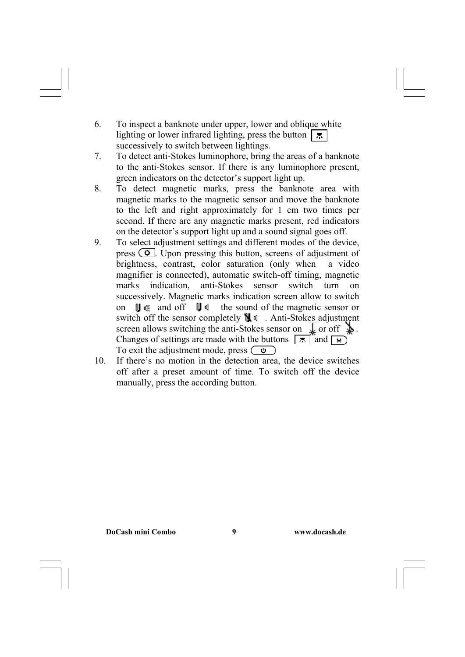- 6. To inspect a banknote under upper, lower and oblique white lighting or lower infrared lighting, press the button  $\boxed{\mathbf{\pi}}$ successively to switch between lightings.
- 7. To detect anti-Stokes luminophore, bring the areas of a banknote to the anti-Stokes sensor. If there is any luminophore present, green indicators on the detector's support light up.
- 8. To detect magnetic marks, press the banknote area with magnetic marks to the magnetic sensor and move the banknote to the left and right approximately for 1 cm two times per second. If there are any magnetic marks present, red indicators on the detector's support light up and a sound signal goes off.
- 9. To select adjustment settings and different modes of the device, press  $\overline{\bullet}$ . Upon pressing this button, screens of adjustment of brightness, contrast, color saturation (only when a video magnifier is connected), automatic switch-off timing, magnetic marks indication, anti-Stokes sensor switch turn on successively. Magnetic marks indication screen allow to switch on  $\mathbf{u}$  if and off  $\mathbf{u}$  if the sound of the magnetic sensor or switch off the sensor completely  $\mathbb{N}$ <sup>1</sup>. Anti-Stokes adjustment screen allows switching the anti-Stokes sensor on  $\downarrow$  or off  $\searrow$ . Changes of settings are made with the buttons  $\boxed{\pi}$  and  $\boxed{\mathsf{M}}$ To exit the adjustment mode, press  $\circ$
- 10. If there's no motion in the detection area, the device switches off after a preset amount of time. To switch off the device manually, press the according button.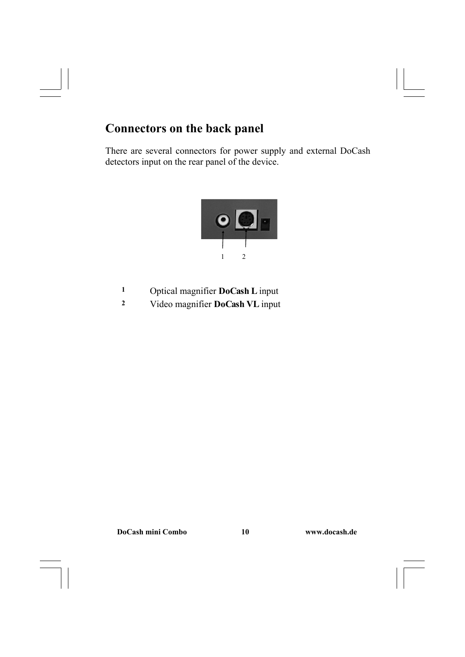## **Connectors on the back panel**

There are several connectors for power supply and external DoCash detectors input on the rear panel of the device.



- **1** Optical magnifier **DoCash L** input
- **2** Video magnifier **DoCash VL** input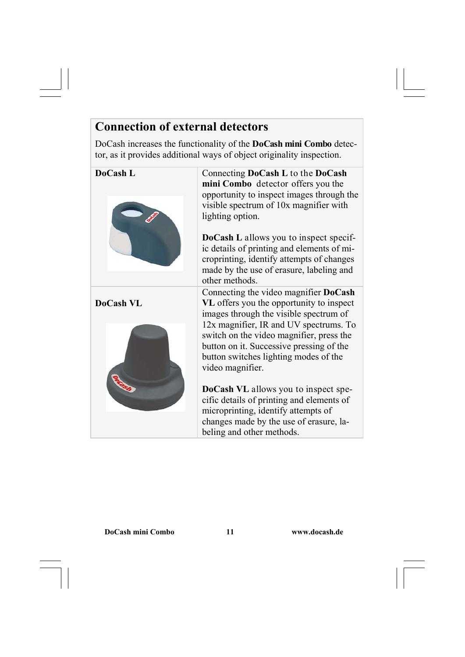#### **Connection of external detectors**

DoCash increases the functionality of the **DoCash mini Combo** detector, as it provides additional ways of object originality inspection.

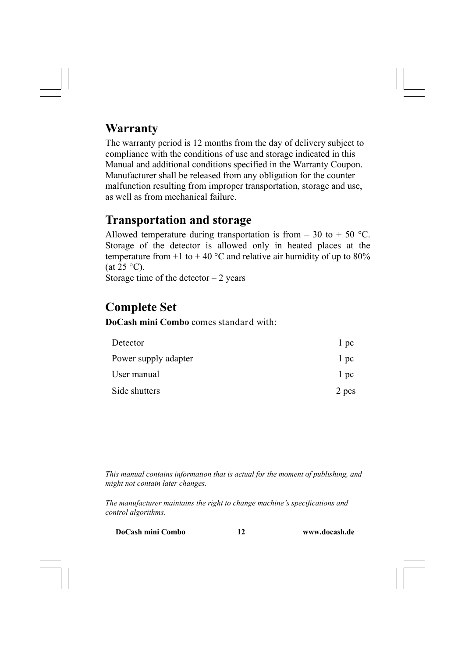## **Warranty**

The warranty period is 12 months from the day of delivery subject to compliance with the conditions of use and storage indicated in this Manual and additional conditions specified in the Warranty Coupon. Manufacturer shall be released from any obligation for the counter malfunction resulting from improper transportation, storage and use, as well as from mechanical failure.

#### **Transportation and storage**

Allowed temperature during transportation is from  $-30$  to  $+50$  °C. Storage of the detector is allowed only in heated places at the temperature from +1 to +40  $^{\circ}$ C and relative air humidity of up to 80%  $(at 25 °C)$ .

Storage time of the detector  $-2$  years

## **Complete Set**

**DoCash mini Combo** comes standard with:

| Detector             | 1 pc  |
|----------------------|-------|
| Power supply adapter | l pc  |
| User manual          | l pc  |
| Side shutters        | 2 pcs |

*This manual contains information that is actual for the moment of publishing, and might not contain later changes.* 

*The manufacturer maintains the right to change machine's specifications and control algorithms.* 

**DoCash mini Combo 12 www.docash.de**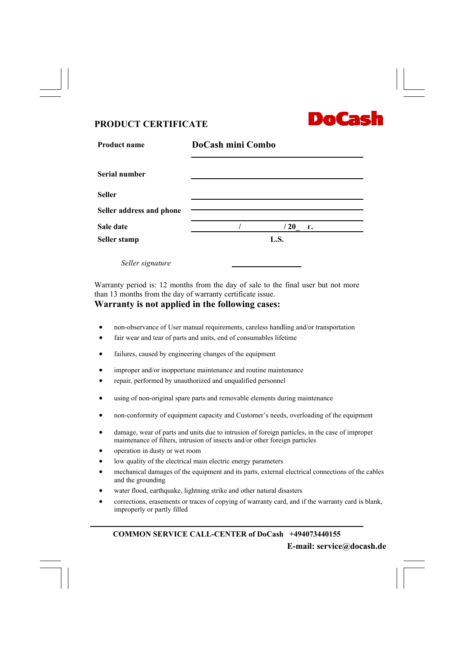#### **PRODUCT CERTIFICATE**



| <b>Product name</b>      | DoCash mini Combo |  |  |  |  |  |
|--------------------------|-------------------|--|--|--|--|--|
| Serial number            |                   |  |  |  |  |  |
| <b>Seller</b>            |                   |  |  |  |  |  |
| Seller address and phone |                   |  |  |  |  |  |
| Sale date                | /20<br>г.         |  |  |  |  |  |
| Seller stamp             | L.S.              |  |  |  |  |  |

*Seller signature* 

Warranty period is: 12 months from the day of sale to the final user but not more than 13 months from the day of warranty certificate issue.

#### **Warranty is not applied in the following cases:**

- non-observance of User manual requirements, careless handling and/or transportation
- fair wear and tear of parts and units, end of consumables lifetime
- failures, caused by engineering changes of the equipment
- improper and/or inopportune maintenance and routine maintenance
- repair, performed by unauthorized and unqualified personnel
- using of non-original spare parts and removable elements during maintenance
- non-conformity of equipment capacity and Customer's needs, overloading of the equipment
- damage, wear of parts and units due to intrusion of foreign particles, in the case of improper maintenance of filters, intrusion of insects and/or other foreign particles
- operation in dusty or wet room
- low quality of the electrical main electric energy parameters
- mechanical damages of the equipment and its parts, external electrical connections of the cables and the grounding
- water flood, earthquake, lightning strike and other natural disasters
- corrections, erasements or traces of copying of warranty card, and if the warranty card is blank, improperly or partly filled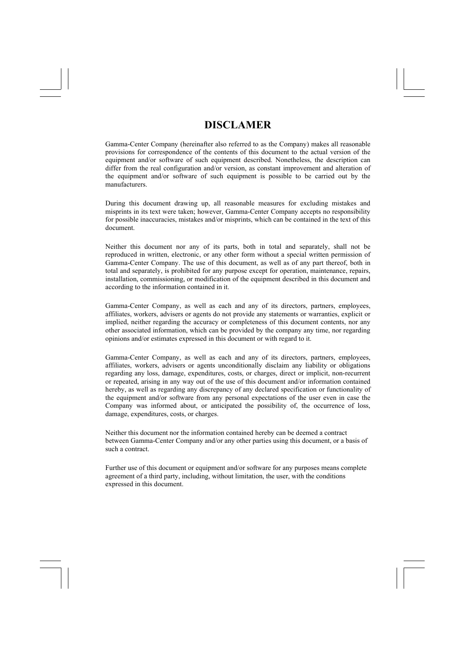#### **DISCLAMER**

Gamma-Center Company (hereinafter also referred to as the Company) makes all reasonable provisions for correspondence of the contents of this document to the actual version of the equipment and/or software of such equipment described. Nonetheless, the description can differ from the real configuration and/or version, as constant improvement and alteration of the equipment and/or software of such equipment is possible to be carried out by the manufacturers.

During this document drawing up, all reasonable measures for excluding mistakes and misprints in its text were taken; however, Gamma-Center Company accepts no responsibility for possible inaccuracies, mistakes and/or misprints, which can be contained in the text of this document.

Neither this document nor any of its parts, both in total and separately, shall not be reproduced in written, electronic, or any other form without a special written permission of Gamma-Center Company. The use of this document, as well as of any part thereof, both in total and separately, is prohibited for any purpose except for operation, maintenance, repairs, installation, commissioning, or modification of the equipment described in this document and according to the information contained in it.

Gamma-Center Company, as well as each and any of its directors, partners, employees, affiliates, workers, advisers or agents do not provide any statements or warranties, explicit or implied, neither regarding the accuracy or completeness of this document contents, nor any other associated information, which can be provided by the company any time, nor regarding opinions and/or estimates expressed in this document or with regard to it.

Gamma-Center Company, as well as each and any of its directors, partners, employees, affiliates, workers, advisers or agents unconditionally disclaim any liability or obligations regarding any loss, damage, expenditures, costs, or charges, direct or implicit, non-recurrent or repeated, arising in any way out of the use of this document and/or information contained hereby, as well as regarding any discrepancy of any declared specification or functionality of the equipment and/or software from any personal expectations of the user even in case the Company was informed about, or anticipated the possibility of, the occurrence of loss, damage, expenditures, costs, or charges.

Neither this document nor the information contained hereby can be deemed a contract between Gamma-Center Company and/or any other parties using this document, or a basis of such a contract.

Further use of this document or equipment and/or software for any purposes means complete agreement of a third party, including, without limitation, the user, with the conditions expressed in this document.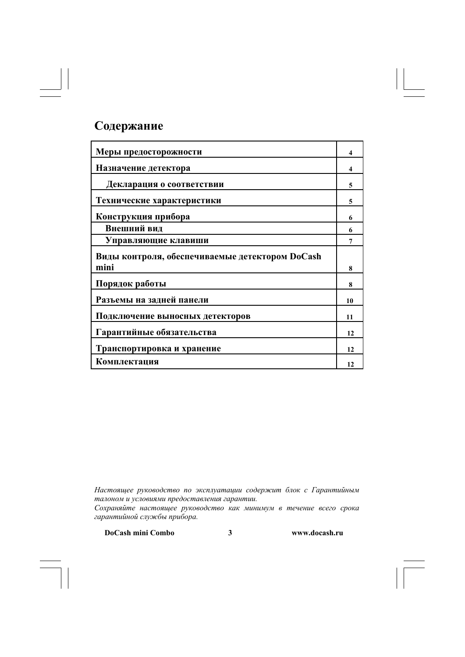## **Содержание**

| Меры предосторожности                           | $\boldsymbol{4}$ |
|-------------------------------------------------|------------------|
| Назначение детектора                            | $\boldsymbol{4}$ |
| Декларация о соответствии                       | 5                |
| Технические характеристики                      | 5                |
| Конструкция прибора                             | 6                |
| Внешний вид                                     | 6                |
| Управляющие клавиши                             | 7                |
| Виды контроля, обеспечиваемые детектором DoCash |                  |
| mini                                            | 8                |
| Порядок работы                                  | 8                |
| Разъемы на задней панели                        | 10               |
| Подключение выносных детекторов                 | 11               |
| Гарантийные обязательства                       | 12               |
| Транспортировка и хранение                      | 12               |
| Комплектация                                    | 12               |

*Настоящее руководство по эксплуатации содержит блок с Гарантийным талоном и условиями предоставления гарантии.* 

*Сохраняйте настоящее руководство как минимум в течение всего срока гарантийной службы прибора.* 

#### **DoCash mini Combo 3 www.docash.ru**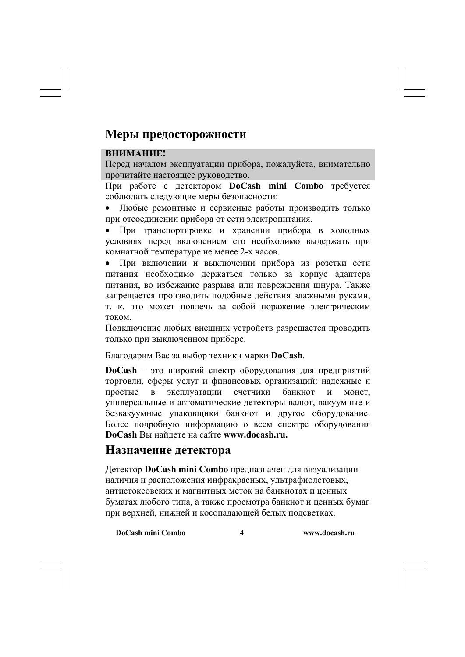#### **Меры предосторожности**

#### **ВНИМАНИЕ!**

Перед началом эксплуатации прибора, пожалуйста, внимательно прочитайте настоящее руководство.

При работе с детектором **DoCash mini Combo** требуется соблюдать следующие меры безопасности:

 Любые ремонтные и сервисные работы производить только при отсоединении прибора от сети электропитания.

 При транспортировке и хранении прибора в холодных условиях перед включением его необходимо выдержать при комнатной температуре не менее 2-х часов.

 При включении и выключении прибора из розетки сети питания необходимо держаться только за корпус адаптера питания, во избежание разрыва или повреждения шнура. Также запрещается производить подобные действия влажными руками, т. к. это может повлечь за собой поражение электрическим током.

Подключение любых внешних устройств разрешается проводить только при выключенном приборе.

Благодарим Вас за выбор техники марки **DoCash**.

**DoCash** – это широкий спектр оборудования для предприятий торговли, сферы услуг и финансовых организаций: надежные и простые в эксплуатации счетчики банкнот и монет, универсальные и автоматические детекторы валют, вакуумные и безвакуумные упаковщики банкнот и другое оборудование. Более подробную информацию о всем спектре оборудования **DoCash** Вы найдете на сайте **www.docash.ru.** 

#### **Назначение детектора**

Детектор **DoCash mini Combo** предназначен для визуализации наличия и расположения инфракрасных, ультрафиолетовых, антистоксовских и магнитных меток на банкнотах и ценных бумагах любого типа, а также просмотра банкнот и ценных бумаг при верхней, нижней и косопадающей белых подсветках.

**DoCash mini Combo 4 www.docash.ru**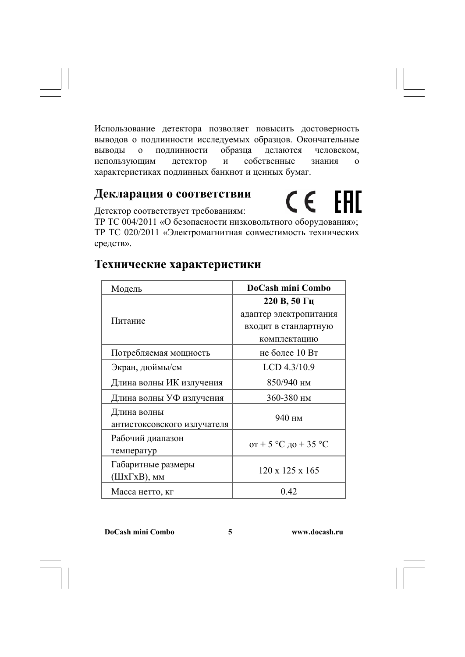Использование детектора позволяет повысить достоверность выводов о подлинности исследуемых образцов. Окончательные выводы о подлинности образца делаются человеком, использующим детектор и собственные знания о характеристиках подлинных банкнот и ценных бумаг.

#### **Декларация о соответствии**

Детектор соответствует требованиям:

ТР ТС 004/2011 «О безопасности низковольтного оборудования»; ТР ТС 020/2011 «Электромагнитная совместимость технических средств».

### **Технические характеристики**

| Модель                      | DoCash mini Combo           |  |  |  |  |
|-----------------------------|-----------------------------|--|--|--|--|
|                             | 220 В, 50 Гц                |  |  |  |  |
|                             | адаптер электропитания      |  |  |  |  |
| Питание                     | входит в стандартную        |  |  |  |  |
|                             | комплектацию                |  |  |  |  |
| Потребляемая мощность       | не более 10 Вт              |  |  |  |  |
| Экран, дюймы/см             | $LCD\,4.3/10.9$             |  |  |  |  |
| Длина волны ИК излучения    | 850/940 нм                  |  |  |  |  |
| Длина волны УФ излучения    | 360-380 нм                  |  |  |  |  |
| Длина волны                 | 940 нм                      |  |  |  |  |
| антистоксовского излучателя |                             |  |  |  |  |
| Рабочий диапазон            | от + 5 °С до + 35 °С        |  |  |  |  |
| температур                  |                             |  |  |  |  |
| Габаритные размеры          | $120 \times 125 \times 165$ |  |  |  |  |
| $(IIxTxB)$ , MM             |                             |  |  |  |  |
| Масса нетто, кг             | 0.42                        |  |  |  |  |

**DoCash mini Combo 5 www.docash.ru**

CE FAI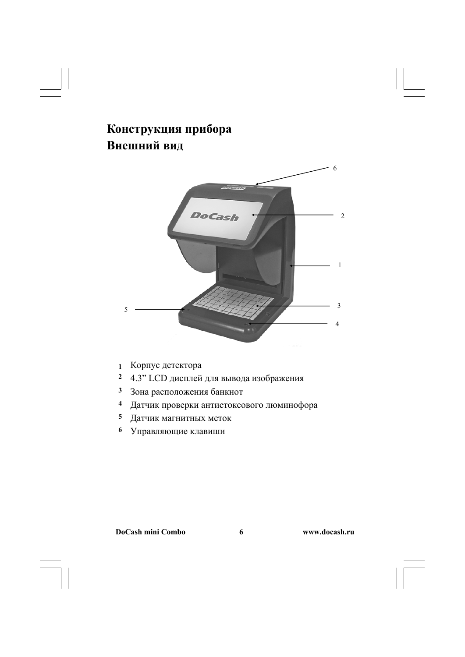## **Конструкция прибора Внешний вид**



- Корпус детектора
- 4.3" LCD дисплей для вывода изображения
- Зона расположения банкнот
- Датчик проверки антистоксового люминофора
- Датчик магнитных меток
- Управляющие клавиши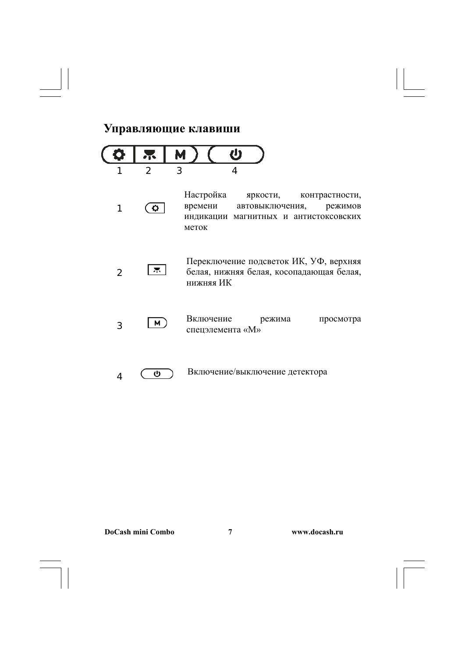# **Управляющие клавиши**

|   | 2 | 3<br>4                                                                                                                          |
|---|---|---------------------------------------------------------------------------------------------------------------------------------|
|   |   | Настройка<br>яркости, контрастности,<br>времени<br>автовыключения,<br>режимов<br>индикации магнитных и антистоксовских<br>меток |
| 2 |   | Переключение подсветок ИК, УФ, верхняя<br>белая, нижняя белая, косопадающая белая,<br>нижняя ИК                                 |
| 3 |   | Включение<br>режима<br>просмотра<br>спецэлемента «М»                                                                            |
|   |   | Включение/выключение детектора                                                                                                  |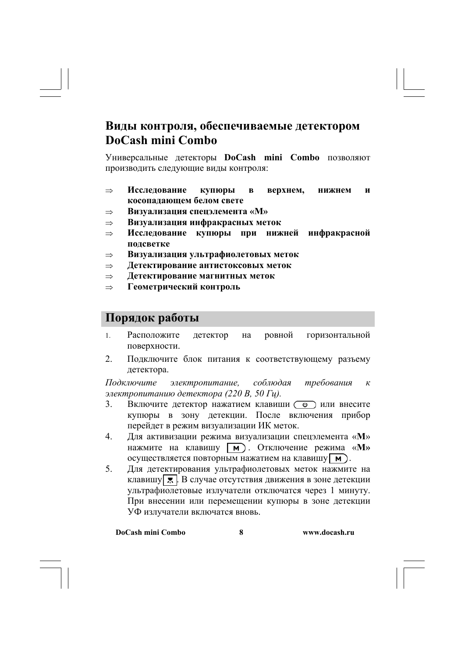#### **Виды контроля, обеспечиваемые детектором DoCash mini Combo**

Универсальные детекторы **DoCash mini Combo** позволяют производить следующие виды контроля:

- **Исследование купюры в верхнем, нижнем и косопадающем белом свете**
- **Визуализация спецэлемента «М»**
- **Визуализация инфракрасных меток**
- **Исследование купюры при нижней инфракрасной подсветке**
- **Визуализация ультрафиолетовых меток**
- **Детектирование антистоксовых меток**
- **Детектирование магнитных меток**
- **Геометрический контроль**

#### **Порядок работы**

- 1. Расположите детектор на ровной горизонтальной поверхности.
- 2. Подключите блок питания к соответствующему разъему детектора.

*Подключите электропитание, соблюдая требования к электропитанию детектора (220 В, 50 Гц).*

- 3. Включите детектор нажатием клавиши  $\circ$  или внесите купюры в зону детекции. После включения прибор перейдет в режим визуализации ИК меток.
- 4. Для активизации режима визуализации спецэлемента «**М**» нажмите на клавишу . Отключение режима «**М»** осуществляется повторным нажатием на клавишу  $\boxed{\mathsf{M}}$ .
- 5. Для детектирования ультрафиолетовых меток нажмите на клавишу  $\sqrt{\pi}$ . В случае отсутствия движения в зоне детекции ультрафиолетовые излучатели отключатся через 1 минуту. При внесении или перемещении купюры в зоне детекции УФ излучатели включатся вновь.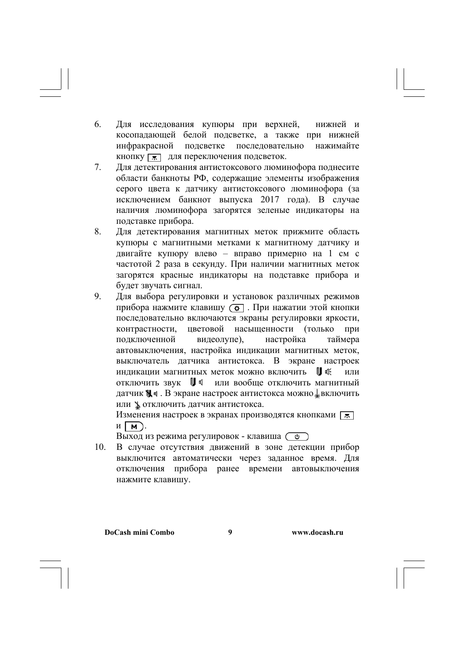- 6. Для исследования купюры при верхней, нижней и косопадающей белой подсветке, а также при нижней инфракрасной подсветке последовательно нажимайте кнопку **для переключения подсветок**.
- 7. Для детектирования антистоксового люминофора поднесите области банкноты РФ, содержащие элементы изображения серого цвета к датчику антистоксового люминофора (за исключением банкнот выпуска 2017 года). В случае наличия люминофора загорятся зеленые индикаторы на подставке прибора.
- 8. Для детектирования магнитных меток прижмите область купюры с магнитными метками к магнитному датчику и двигайте купюру влево – вправо примерно на 1 см с частотой 2 раза в секунду. При наличии магнитных меток загорятся красные индикаторы на подставке прибора и будет звучать сигнал.
- 9. Для выбора регулировки и установок различных режимов прибора нажмите клавишу  $\boxed{\sigma}$ . При нажатии этой кнопки последовательно включаются экраны регулировки яркости, контрастности, цветовой насыщенности (только при подключенной видеолупе), настройка таймера автовыключения, настройка индикации магнитных меток, выключатель датчика антистокса. В экране настроек индикации магнитных меток можно включить  $\mathbf{U}$  « или отключить звук  $\mathbf{U}$  <sup>1</sup> или вообще отключить магнитный датчик  $\mathbb{N}$  4. В экране настроек антистокса можно включить или Хотключить датчик антистокса.

Изменения настроек в экранах производятся кнопками и $\sqrt{M}$ .

Выход из режима регулировок - клавиша

10. В случае отсутствия движений в зоне детекции прибор выключится автоматически через заданное время. Для отключения прибора ранее времени автовыключения нажмите клавишу.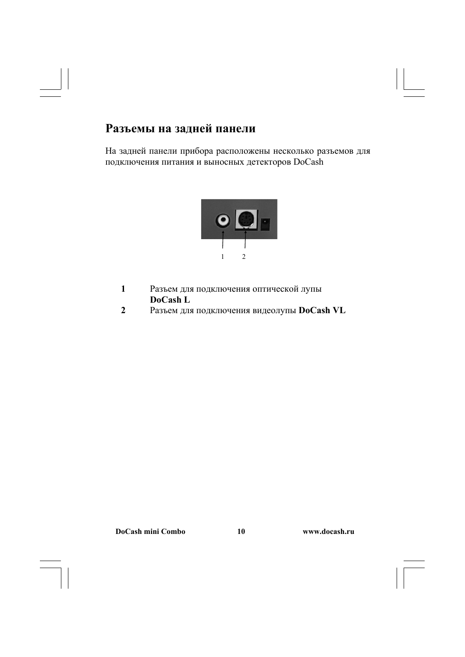#### **Разъемы на задней панели**

На задней панели прибора расположены несколько разъемов для подключения питания и выносных детекторов DoCash



- **1** Разъем для подключения оптической лупы **DoCash L**
- **2** Разъем для подключения видеолупы **DoCash VL**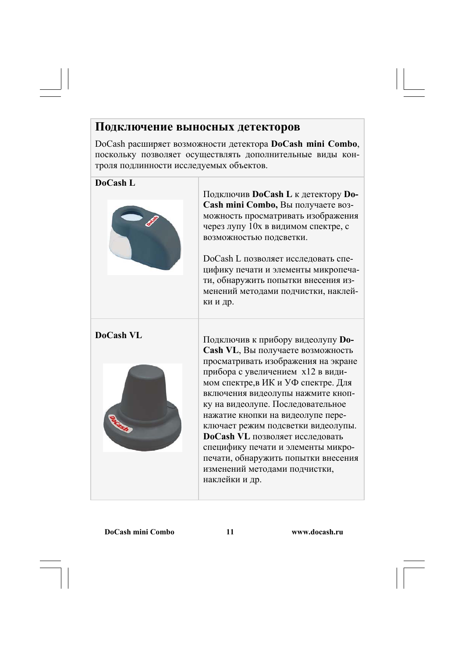#### **Подключение выносных детекторов**

DoCash расширяет возможности детектора **DoCash mini Combo**, поскольку позволяет осуществлять дополнительные виды контроля подлинности исследуемых объектов.

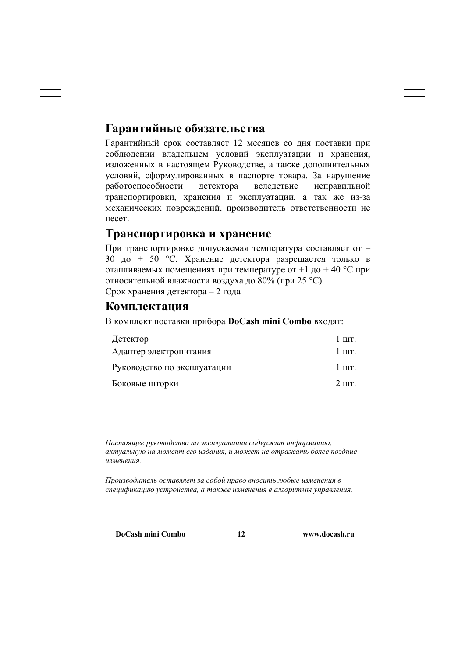## **Гарантийные обязательства**

Гарантийный срок составляет 12 месяцев со дня поставки при соблюдении владельцем условий эксплуатации и хранения, изложенных в настоящем Руководстве, а также дополнительных условий, сформулированных в паспорте товара. За нарушение работоспособности детектора вследствие неправильной транспортировки, хранения и эксплуатации, а так же из-за механических повреждений, производитель ответственности не несет.

#### **Транспортировка и хранение**

При транспортировке допускаемая температура составляет от – 30 до + 50 °С. Хранение детектора разрешается только в отапливаемых помещениях при температуре от  $+1$  до  $+40$  °C при относительной влажности воздуха до 80% (при 25 °С). Срок хранения детектора – 2 года

#### **Комплектация**

В комплект поставки прибора **DoCash mini Combo** входят:

| Детектор                    | $\blacksquare$ $\blacksquare$ |
|-----------------------------|-------------------------------|
| Адаптер электропитания      | $1 \text{ mT}$ .              |
| Руководство по эксплуатации | $1$ $\text{I}$ $\text{I}$     |
| Боковые шторки              | $2 \text{ mT}$                |

*Настоящее руководство по эксплуатации содержит информацию, актуальную на момент его издания, и может не отражать более поздние изменения.* 

*Производитель оставляет за собой право вносить любые изменения в спецификацию устройства, а также изменения в алгоритмы управления.*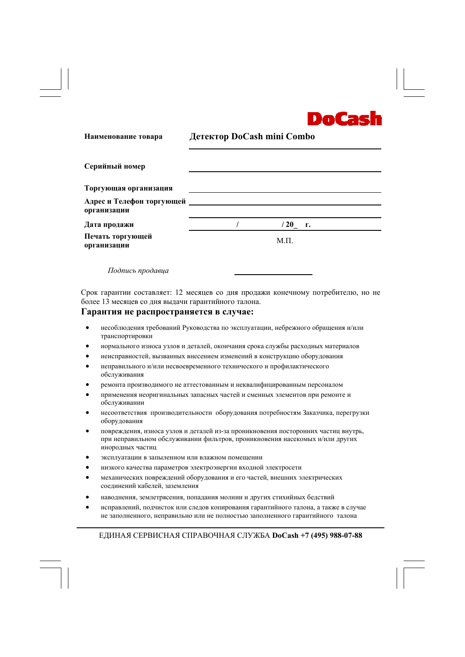

| Наименование товара                      | Детектор DoCash mini Combo |           |  |  |  |  |
|------------------------------------------|----------------------------|-----------|--|--|--|--|
| Серийный номер                           |                            |           |  |  |  |  |
| Торгующая организация                    |                            |           |  |  |  |  |
| Адрес и Телефон торгующей<br>организации |                            |           |  |  |  |  |
| Дата продажи                             |                            | /20<br>г. |  |  |  |  |
| Печать торгующей<br>организации          |                            | Μ.Π.      |  |  |  |  |

*Подпись продавца*

Срок гарантии составляет: 12 месяцев со дня продажи конечному потребителю, но не более 13 месяцев со дня выдачи гарантийного талона.

#### **Гарантия не распространяется в случае:**

- несоблюдения требований Руководства по эксплуатации, небрежного обращения и/или транспортировки
- нормального износа узлов и деталей, окончания срока службы расходных материалов
- неисправностей, вызванных внесением изменений в конструкцию оборудования
- неправильного и/или несвоевременного технического и профилактического обслуживания
- ремонта производимого не аттестованным и неквалифицированным персоналом
- применения неоригинальных запасных частей и сменных элементов при ремонте и обслуживании
- несоответствия производительности оборудования потребностям Заказчика, перегрузки оборудования
- повреждения, износа узлов и деталей из-за проникновения посторонних частиц внутрь, при неправильном обслуживании фильтров, проникновения насекомых и/или других инородных частиц
- эксплуатации в запыленном или влажном помещении
- низкого качества параметров электроэнергии входной электросети
- механических повреждений оборудования и его частей, внешних электрических соединений кабелей, заземления
- наводнения, землетрясения, попадания молнии и других стихийных бедствий
- исправлений, подчисток или следов копирования гарантийного талона, а также в случае не заполненного, неправильно или не полностью заполненного гарантийного талона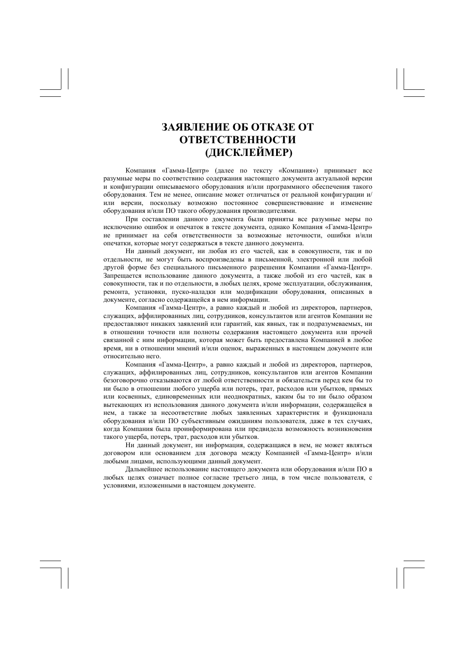#### **ЗАЯВЛЕНИЕ ОБ ОТКАЗЕ ОТ ОТВЕТСТВЕННОСТИ (ДИСКЛЕЙМЕР)**

Компания «Гамма-Центр» (далее по тексту «Компания») принимает все разумные меры по соответствию содержания настоящего документа актуальной версии и конфигурации описываемого оборудования и/или программного обеспечения такого оборудования. Тем не менее, описание может отличаться от реальной конфигурации и/ или версии, поскольку возможно постоянное совершенствование и изменение оборудования и/или ПО такого оборудования производителями.

При составлении данного документа были приняты все разумные меры по исключению ошибок и опечаток в тексте документа, однако Компания «Гамма-Центр» не принимает на себя ответственности за возможные неточности, ошибки и/или опечатки, которые могут содержаться в тексте данного документа.

Ни данный документ, ни любая из его частей, как в совокупности, так и по отдельности, не могут быть воспроизведены в письменной, электронной или любой другой форме без специального письменного разрешения Компании «Гамма-Центр». Запрещается использование данного документа, а также любой из его частей, как в совокупности, так и по отдельности, в любых целях, кроме эксплуатации, обслуживания, ремонта, установки, пуско-наладки или модификации оборудования, описанных в документе, согласно содержащейся в нем информации.

Компания «Гамма-Центр», а равно каждый и любой из директоров, партнеров, служащих, аффилированных лиц, сотрудников, консультантов или агентов Компании не предоставляют никаких заявлений или гарантий, как явных, так и подразумеваемых, ни в отношении точности или полноты содержания настоящего документа или прочей связанной с ним информации, которая может быть предоставлена Компанией в любое время, ни в отношении мнений и/или оценок, выраженных в настоящем документе или относительно него.

Компания «Гамма-Центр», а равно каждый и любой из директоров, партнеров, служащих, аффилированных лиц, сотрудников, консультантов или агентов Компании безоговорочно отказываются от любой ответственности и обязательств перед кем бы то ни было в отношении любого ущерба или потерь, трат, расходов или убытков, прямых или косвенных, единовременных или неоднократных, каким бы то ни было образом вытекающих из использования данного документа и/или информации, содержащейся в нем, а также за несоответствие любых заявленных характеристик и функционала оборудования и/или ПО субъективным ожиданиям пользователя, даже в тех случаях, когда Компания была проинформирована или предвидела возможность возникновения такого ущерба, потерь, трат, расходов или убытков.

Ни данный документ, ни информация, содержащаяся в нем, не может являться договором или основанием для договора между Компанией «Гамма-Центр» и/или любыми лицами, использующими данный документ.

Дальнейшее использование настоящего документа или оборудования и/или ПО в любых целях означает полное согласие третьего лица, в том числе пользователя, с условиями, изложенными в настоящем документе.